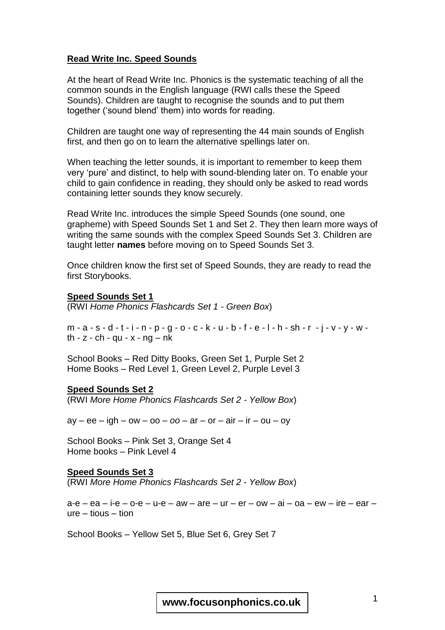# **Read Write Inc. Speed Sounds**

At the heart of Read Write Inc. Phonics is the systematic teaching of all the common sounds in the English language (RWI calls these the Speed Sounds). Children are taught to recognise the sounds and to put them together ('sound blend' them) into words for reading.

Children are taught one way of representing the 44 main sounds of English first, and then go on to learn the alternative spellings later on.

When teaching the letter sounds, it is important to remember to keep them very 'pure' and distinct, to help with sound-blending later on. To enable your child to gain confidence in reading, they should only be asked to read words containing letter sounds they know securely.

Read Write Inc. introduces the simple Speed Sounds (one sound, one grapheme) with Speed Sounds Set 1 and Set 2. They then learn more ways of writing the same sounds with the complex Speed Sounds Set 3. Children are taught letter **names** before moving on to Speed Sounds Set 3.

Once children know the first set of Speed Sounds, they are ready to read the first Storybooks.

### **Speed Sounds Set 1**

(RWI *Home Phonics Flashcards Set 1 - Green Box*)

 $m - a - s - d - t - i - n - p - q - o - c - k - u - b - f - e - l - h - sh - r - j - v - y - w$ th  $- z - ch - qu - x - nq - nk$ 

School Books – Red Ditty Books, Green Set 1, Purple Set 2 Home Books – Red Level 1, Green Level 2, Purple Level 3

## **Speed Sounds Set 2**

(RWI *More Home Phonics Flashcards Set 2 - Yellow Box*)

 $ay - ee - igh - ow - oo - oo - ar - or - air - ir - ou - oy$ 

School Books – Pink Set 3, Orange Set 4 Home books – Pink Level 4

#### **Speed Sounds Set 3**

(RWI *More Home Phonics Flashcards Set 2 - Yellow Box*)

 $a-e - ea - ie - o-e - u-e - aw - are - ur - er - ow - ai - oa - ew - ire - ear$ ure – tious – tion

School Books – Yellow Set 5, Blue Set 6, Grey Set 7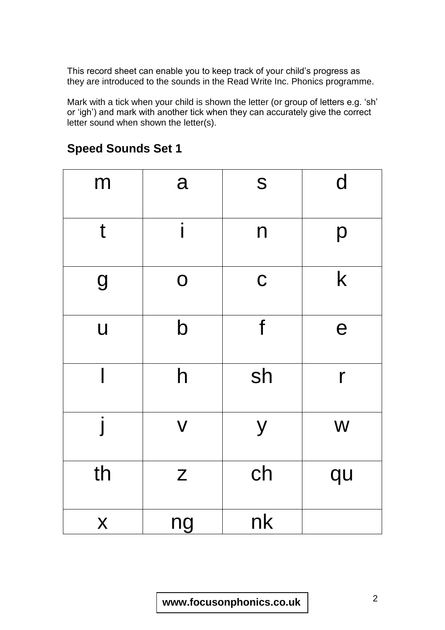This record sheet can enable you to keep track of your child's progress as they are introduced to the sounds in the Read Write Inc. Phonics programme.

Mark with a tick when your child is shown the letter (or group of letters e.g. 'sh' or 'igh') and mark with another tick when they can accurately give the correct letter sound when shown the letter(s).

| m                | a                                                           | S            | $\mathbf d$  |
|------------------|-------------------------------------------------------------|--------------|--------------|
| t                | i                                                           | $\mathsf{n}$ | p            |
| 9                | $\mathbf O$                                                 | $\mathbf C$  | $\mathsf k$  |
| $\overline{u}$   | $\mathsf b$                                                 | f            | e            |
|                  | $\mathsf{h}$                                                | sh           | $\mathsf{r}$ |
|                  | $\overline{\mathsf{V}}$                                     | y            | W            |
| th               | $\mathsf{Z}% _{M_{1},M_{2}}^{\alpha,\beta}(\mathbb{R}^{2})$ | ch           | qu           |
| $\boldsymbol{X}$ | ng                                                          | nk           |              |

# **Speed Sounds Set 1**

<sup>2</sup> **www.focusonphonics.co.uk**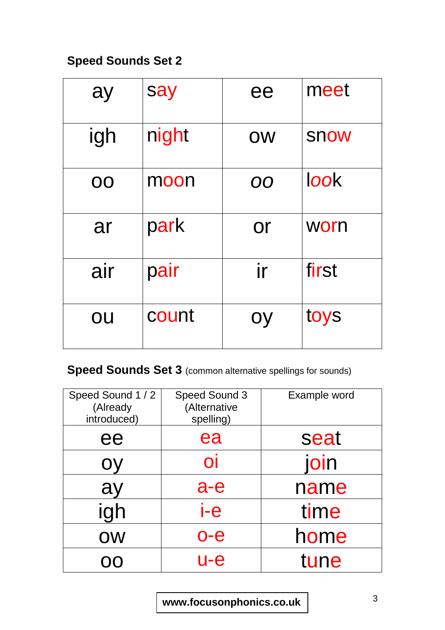# **Speed Sounds Set 2**

| ay        | say   | ee        | meet  |
|-----------|-------|-----------|-------|
| igh       | night | <b>OW</b> | snow  |
| <b>OO</b> | moon  | <b>OO</b> | look  |
| ar        | park  | <b>Or</b> | worn  |
| air       | pair  | ir        | first |
| OU        | count | oy        | toys  |

**Speed Sounds Set 3** (common alternative spellings for sounds)

| Speed Sound 1 / 2<br>(Already<br>introduced) | Speed Sound 3<br>(Alternative<br>spelling) | Example word |
|----------------------------------------------|--------------------------------------------|--------------|
| ee                                           | ea                                         | seat         |
| OV                                           | $\overline{O}$                             | join         |
| ay                                           | $a-e$                                      | name         |
| igh                                          | i-e                                        | time         |
| OW                                           | o-e                                        | home         |
|                                              | u-e                                        | tune         |